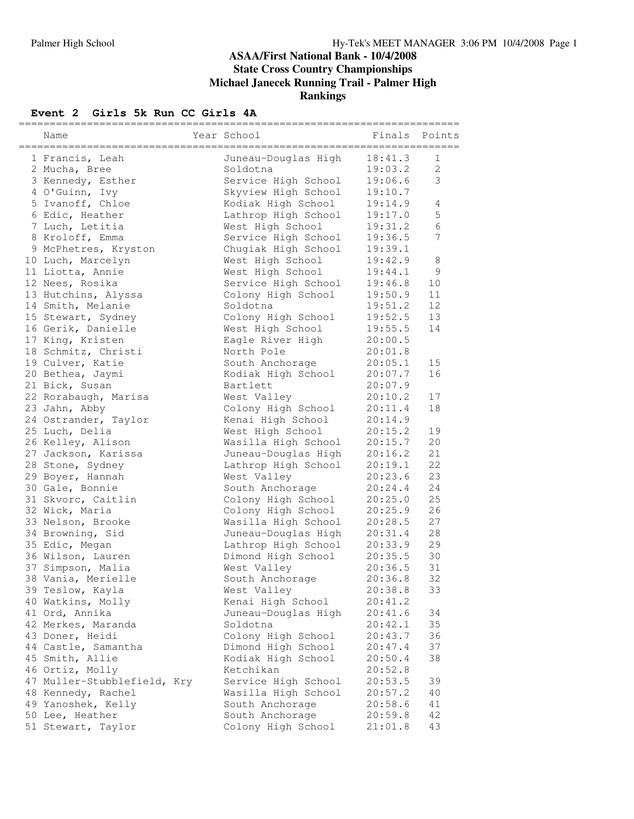### **ASAA/First National Bank - 10/4/2008 State Cross Country Championships Michael Janecek Running Trail - Palmer High Rankings**

## **Event** 2 **Girls** 5k Run CC Girls 4A

| Name                        | Year School         | Finals Points |                |
|-----------------------------|---------------------|---------------|----------------|
| 1 Francis, Leah             | Juneau-Douglas High | 18:41.3       | $\mathbf{1}$   |
| 2 Mucha, Bree               | Soldotna            | 19:03.2       | $\overline{2}$ |
| 3 Kennedy, Esther           | Service High School | 19:06.6       | 3              |
| 4 O'Guinn, Ivy              | Skyview High School | 19:10.7       |                |
| 5 Ivanoff, Chloe            | Kodiak High School  | 19:14.9       | 4              |
| 6 Edic, Heather             | Lathrop High School | 19:17.0       | 5              |
| 7 Luch, Letitia             | West High School    | 19:31.2       | 6              |
| 8 Kroloff, Emma             | Service High School | 19:36.5       | 7              |
| 9 McPhetres, Kryston        | Chugiak High School | 19:39.1       |                |
| 10 Luch, Marcelyn           | West High School    | 19:42.9       | 8              |
| 11 Liotta, Annie            | West High School    | 19:44.1       | $\mathsf 9$    |
| 12 Nees, Rosika             | Service High School | 19:46.8       | 10             |
| 13 Hutchins, Alyssa         | Colony High School  | 19:50.9       | 11             |
| 14 Smith, Melanie           | Soldotna            | 19:51.2       | 12             |
| 15 Stewart, Sydney          | Colony High School  | 19:52.5       | 13             |
| 16 Gerik, Danielle          | West High School    | 19:55.5       | 14             |
| 17 King, Kristen            | Eagle River High    | 20:00.5       |                |
| 18 Schmitz, Christi         | North Pole          | 20:01.8       |                |
| 19 Culver, Katie            | South Anchorage     | 20:05.1       | 15             |
| 20 Bethea, Jaymi            | Kodiak High School  | 20:07.7       | 16             |
| 21 Bick, Susan              | Bartlett            | 20:07.9       |                |
| 22 Rorabaugh, Marisa        | West Valley         | 20:10.2       | 17             |
| 23 Jahn, Abby               | Colony High School  | 20:11.4       | 18             |
| 24 Ostrander, Taylor        | Kenai High School   | 20:14.9       |                |
| 25 Luch, Delia              | West High School    | 20:15.2       | 19             |
| 26 Kelley, Alison           | Wasilla High School | 20:15.7       | 20             |
| 27 Jackson, Karissa         | Juneau-Douglas High | 20:16.2       | 21             |
| 28 Stone, Sydney            | Lathrop High School | 20:19.1       | 22             |
| 29 Boyer, Hannah            | West Valley         | 20:23.6       | 23             |
| 30 Gale, Bonnie             | South Anchorage     | 20:24.4       | 24             |
| 31 Skvorc, Caitlin          | Colony High School  | 20:25.0       | 25             |
| 32 Wick, Maria              | Colony High School  | 20:25.9       | 26             |
| 33 Nelson, Brooke           | Wasilla High School | 20:28.5       | 27             |
| 34 Browning, Sid            | Juneau-Douglas High | 20:31.4       | 28             |
| 35 Edic, Megan              | Lathrop High School | 20:33.9       | 29             |
| 36 Wilson, Lauren           | Dimond High School  | 20:35.5       | 30             |
| 37 Simpson, Malia           | West Valley         | 20:36.5       | 31             |
| 38 Vania, Merielle          | South Anchorage     | 20:36.8       | 32             |
| 39 Teslow, Kayla            | West Valley         | 20:38.8       | 33             |
| 40 Watkins, Molly           | Kenai High School   | 20:41.2       |                |
| 41 Ord, Annika              | Juneau-Douglas High | 20:41.6       | 34             |
| 42 Merkes, Maranda          | Soldotna            | 20:42.1       | 35             |
| 43 Doner, Heidi             | Colony High School  | 20:43.7       | 36             |
| 44 Castle, Samantha         | Dimond High School  | 20:47.4       | 37             |
| 45 Smith, Allie             | Kodiak High School  | 20:50.4       | 38             |
| 46 Ortiz, Molly             | Ketchikan           | 20:52.8       |                |
| 47 Muller-Stubblefield, Kry | Service High School | 20:53.5       | 39             |
| 48 Kennedy, Rachel          | Wasilla High School | 20:57.2       | 40             |
| 49 Yanoshek, Kelly          | South Anchorage     | 20:58.6       | 41             |
| 50 Lee, Heather             | South Anchorage     | 20:59.8       | 42             |
| 51 Stewart, Taylor          | Colony High School  | 21:01.8       | 43             |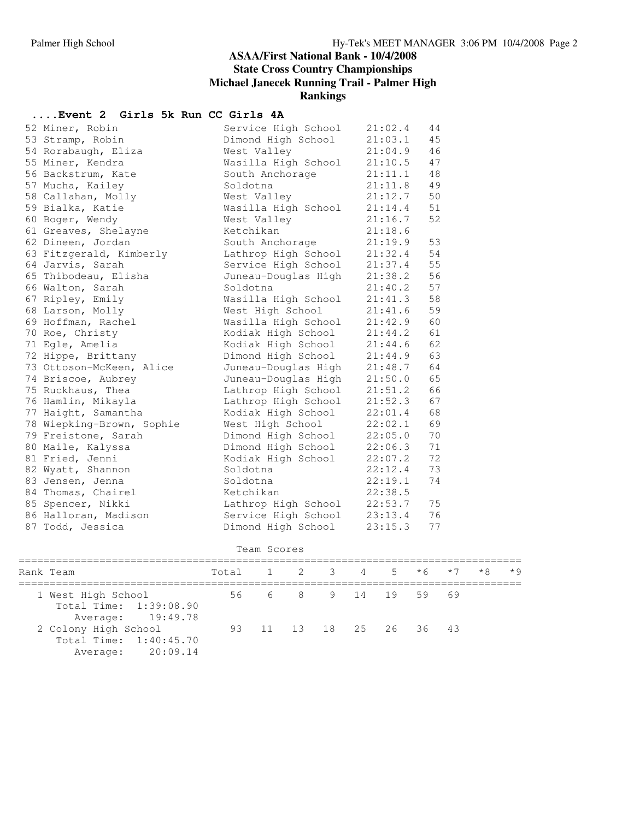#### **ASAA/First National Bank - 10/4/2008 State Cross Country Championships Michael Janecek Running Trail - Palmer High Rankings**

# **....Event 2 Girls 5k Run CC Girls 4A**

| 52 Miner, Robin           | Service High School | 21:02.4 | 44 |
|---------------------------|---------------------|---------|----|
| 53 Stramp, Robin          | Dimond High School  | 21:03.1 | 45 |
| 54 Rorabaugh, Eliza       | West Valley         | 21:04.9 | 46 |
| 55 Miner, Kendra          | Wasilla High School | 21:10.5 | 47 |
| 56 Backstrum, Kate        | South Anchorage     | 21:11.1 | 48 |
| 57 Mucha, Kailey          | Soldotna            | 21:11.8 | 49 |
| 58 Callahan, Molly        | West Valley         | 21:12.7 | 50 |
| 59 Bialka, Katie          | Wasilla High School | 21:14.4 | 51 |
| 60 Boger, Wendy           | West Valley         | 21:16.7 | 52 |
| 61 Greaves, Shelayne      | Ketchikan           | 21:18.6 |    |
| 62 Dineen, Jordan         | South Anchorage     | 21:19.9 | 53 |
| 63 Fitzgerald, Kimberly   | Lathrop High School | 21:32.4 | 54 |
| 64 Jarvis, Sarah          | Service High School | 21:37.4 | 55 |
| 65 Thibodeau, Elisha      | Juneau-Douglas High | 21:38.2 | 56 |
| 66 Walton, Sarah          | Soldotna            | 21:40.2 | 57 |
| 67 Ripley, Emily          | Wasilla High School | 21:41.3 | 58 |
| 68 Larson, Molly          | West High School    | 21:41.6 | 59 |
| 69 Hoffman, Rachel        | Wasilla High School | 21:42.9 | 60 |
| 70 Roe, Christy           | Kodiak High School  | 21:44.2 | 61 |
| 71 Egle, Amelia           | Kodiak High School  | 21:44.6 | 62 |
| 72 Hippe, Brittany        | Dimond High School  | 21:44.9 | 63 |
| 73 Ottoson-McKeen, Alice  | Juneau-Douglas High | 21:48.7 | 64 |
| 74 Briscoe, Aubrey        | Juneau-Douglas High | 21:50.0 | 65 |
| 75 Ruckhaus, Thea         | Lathrop High School | 21:51.2 | 66 |
| 76 Hamlin, Mikayla        | Lathrop High School | 21:52.3 | 67 |
| 77 Haight, Samantha       | Kodiak High School  | 22:01.4 | 68 |
| 78 Wiepking-Brown, Sophie | West High School    | 22:02.1 | 69 |
| 79 Freistone, Sarah       | Dimond High School  | 22:05.0 | 70 |
| 80 Maile, Kalyssa         | Dimond High School  | 22:06.3 | 71 |
| 81 Fried, Jenni           | Kodiak High School  | 22:07.2 | 72 |
| 82 Wyatt, Shannon         | Soldotna            | 22:12.4 | 73 |
| 83 Jensen, Jenna          | Soldotna            | 22:19.1 | 74 |
| 84 Thomas, Chairel        | Ketchikan           | 22:38.5 |    |
| 85 Spencer, Nikki         | Lathrop High School | 22:53.7 | 75 |
| 86 Halloran, Madison      | Service High School | 23:13.4 | 76 |
| 87 Todd, Jessica          | Dimond High School  | 23:15.3 | 77 |

```
Team Scores
```

| Rank Team              | Total 1 2 3 4 5 $*6$ $*7$ |                         |  |  |  | $*8$ $*9$ |  |
|------------------------|---------------------------|-------------------------|--|--|--|-----------|--|
| 1 West High School     |                           | 56 6 8 9 14 19 59 69    |  |  |  |           |  |
| Total Time: 1:39:08.90 |                           |                         |  |  |  |           |  |
| Average: 19:49.78      |                           |                         |  |  |  |           |  |
| 2 Colony High School   |                           | 93 11 13 18 25 26 36 43 |  |  |  |           |  |
| Total Time: 1:40:45.70 |                           |                         |  |  |  |           |  |
| Average: 20:09.14      |                           |                         |  |  |  |           |  |